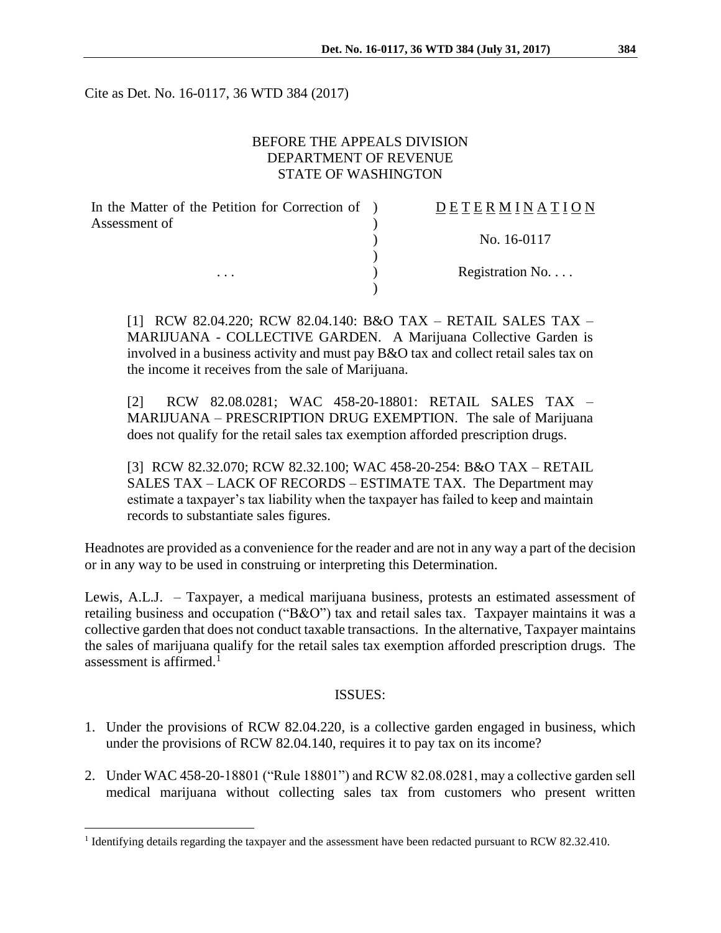Cite as Det. No. 16-0117, 36 WTD 384 (2017)

### BEFORE THE APPEALS DIVISION DEPARTMENT OF REVENUE STATE OF WASHINGTON

| In the Matter of the Petition for Correction of ) | DETERMINATION   |
|---------------------------------------------------|-----------------|
| Assessment of                                     |                 |
|                                                   | No. 16-0117     |
|                                                   |                 |
| $\cdots$                                          | Registration No |
|                                                   |                 |

[1] RCW 82.04.220; RCW 82.04.140: B&O TAX – RETAIL SALES TAX – MARIJUANA - COLLECTIVE GARDEN. A Marijuana Collective Garden is involved in a business activity and must pay B&O tax and collect retail sales tax on the income it receives from the sale of Marijuana.

[2] RCW 82.08.0281; WAC 458-20-18801: RETAIL SALES TAX – MARIJUANA – PRESCRIPTION DRUG EXEMPTION. The sale of Marijuana does not qualify for the retail sales tax exemption afforded prescription drugs.

[3] RCW 82.32.070; RCW 82.32.100; WAC 458-20-254: B&O TAX – RETAIL SALES TAX – LACK OF RECORDS – ESTIMATE TAX. The Department may estimate a taxpayer's tax liability when the taxpayer has failed to keep and maintain records to substantiate sales figures.

Headnotes are provided as a convenience for the reader and are not in any way a part of the decision or in any way to be used in construing or interpreting this Determination.

Lewis, A.L.J. – Taxpayer, a medical marijuana business, protests an estimated assessment of retailing business and occupation ("B&O") tax and retail sales tax. Taxpayer maintains it was a collective garden that does not conduct taxable transactions. In the alternative, Taxpayer maintains the sales of marijuana qualify for the retail sales tax exemption afforded prescription drugs. The assessment is affirmed.<sup>1</sup>

### ISSUES:

- 1. Under the provisions of RCW 82.04.220, is a collective garden engaged in business, which under the provisions of RCW 82.04.140, requires it to pay tax on its income?
- 2. Under WAC 458-20-18801 ("Rule 18801") and RCW 82.08.0281, may a collective garden sell medical marijuana without collecting sales tax from customers who present written

<sup>&</sup>lt;sup>1</sup> Identifying details regarding the taxpayer and the assessment have been redacted pursuant to RCW 82.32.410.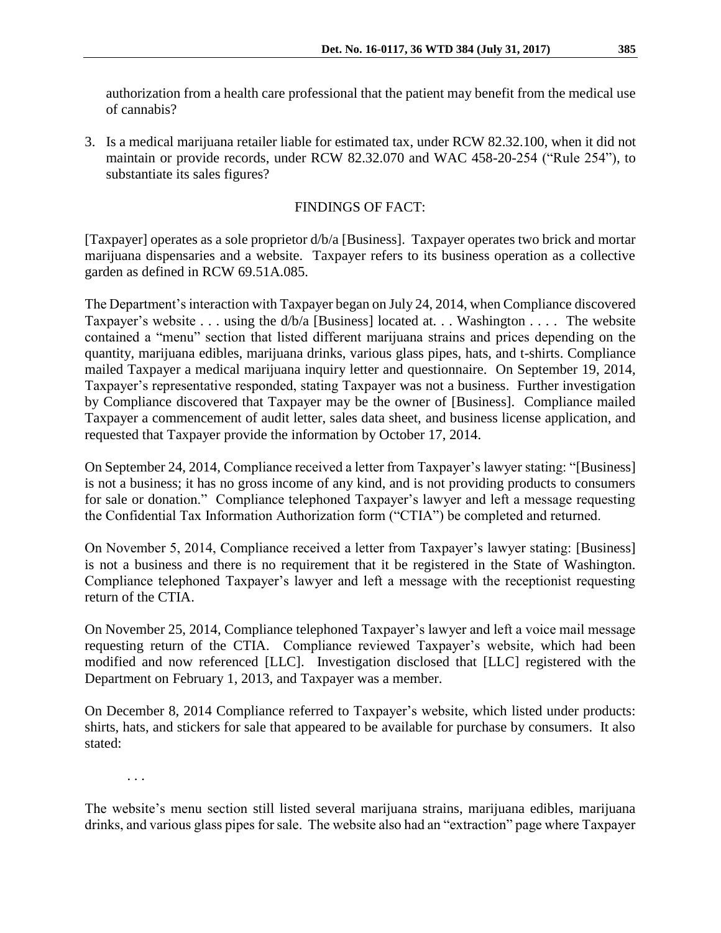authorization from a health care professional that the patient may benefit from the medical use of cannabis?

3. Is a medical marijuana retailer liable for estimated tax, under RCW 82.32.100, when it did not maintain or provide records, under RCW 82.32.070 and WAC 458-20-254 ("Rule 254"), to substantiate its sales figures?

# FINDINGS OF FACT:

[Taxpayer] operates as a sole proprietor d/b/a [Business]. Taxpayer operates two brick and mortar marijuana dispensaries and a website. Taxpayer refers to its business operation as a collective garden as defined in RCW 69.51A.085.

The Department's interaction with Taxpayer began on July 24, 2014, when Compliance discovered Taxpayer's website . . . using the d/b/a [Business] located at. . . Washington . . . . The website contained a "menu" section that listed different marijuana strains and prices depending on the quantity, marijuana edibles, marijuana drinks, various glass pipes, hats, and t-shirts. Compliance mailed Taxpayer a medical marijuana inquiry letter and questionnaire. On September 19, 2014, Taxpayer's representative responded, stating Taxpayer was not a business. Further investigation by Compliance discovered that Taxpayer may be the owner of [Business]. Compliance mailed Taxpayer a commencement of audit letter, sales data sheet, and business license application, and requested that Taxpayer provide the information by October 17, 2014.

On September 24, 2014, Compliance received a letter from Taxpayer's lawyer stating: "[Business] is not a business; it has no gross income of any kind, and is not providing products to consumers for sale or donation." Compliance telephoned Taxpayer's lawyer and left a message requesting the Confidential Tax Information Authorization form ("CTIA") be completed and returned.

On November 5, 2014, Compliance received a letter from Taxpayer's lawyer stating: [Business] is not a business and there is no requirement that it be registered in the State of Washington. Compliance telephoned Taxpayer's lawyer and left a message with the receptionist requesting return of the CTIA.

On November 25, 2014, Compliance telephoned Taxpayer's lawyer and left a voice mail message requesting return of the CTIA. Compliance reviewed Taxpayer's website, which had been modified and now referenced [LLC]. Investigation disclosed that [LLC] registered with the Department on February 1, 2013, and Taxpayer was a member.

On December 8, 2014 Compliance referred to Taxpayer's website, which listed under products: shirts, hats, and stickers for sale that appeared to be available for purchase by consumers. It also stated:

. . .

The website's menu section still listed several marijuana strains, marijuana edibles, marijuana drinks, and various glass pipes for sale. The website also had an "extraction" page where Taxpayer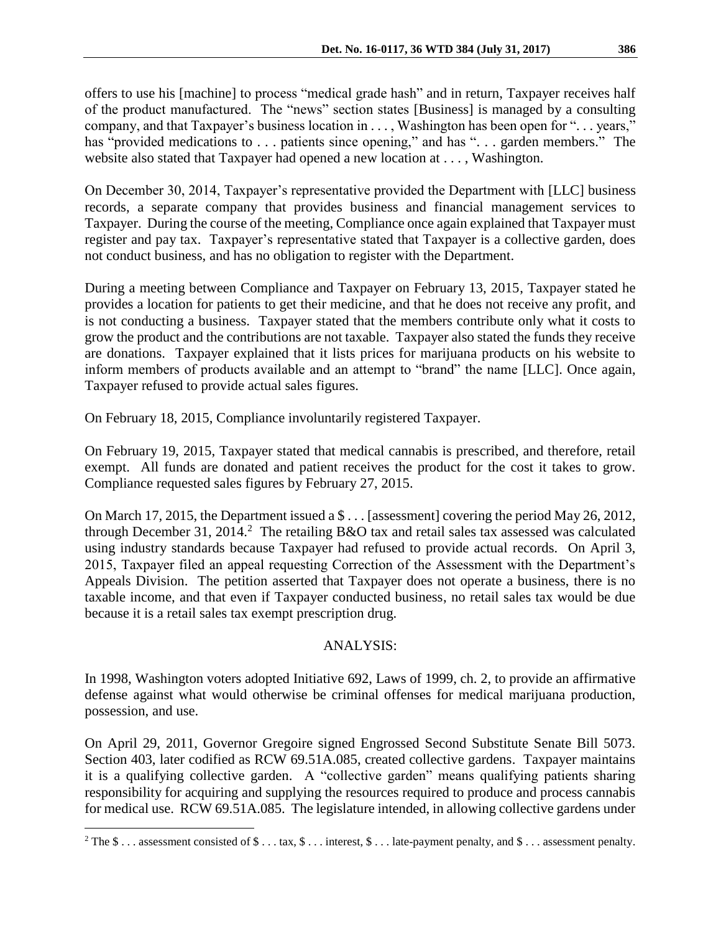offers to use his [machine] to process "medical grade hash" and in return, Taxpayer receives half of the product manufactured. The "news" section states [Business] is managed by a consulting company, and that Taxpayer's business location in . . . , Washington has been open for ". . . years," has "provided medications to . . . patients since opening," and has ". . . garden members." The website also stated that Taxpayer had opened a new location at . . . , Washington.

On December 30, 2014, Taxpayer's representative provided the Department with [LLC] business records, a separate company that provides business and financial management services to Taxpayer. During the course of the meeting, Compliance once again explained that Taxpayer must register and pay tax. Taxpayer's representative stated that Taxpayer is a collective garden, does not conduct business, and has no obligation to register with the Department.

During a meeting between Compliance and Taxpayer on February 13, 2015, Taxpayer stated he provides a location for patients to get their medicine, and that he does not receive any profit, and is not conducting a business. Taxpayer stated that the members contribute only what it costs to grow the product and the contributions are not taxable. Taxpayer also stated the funds they receive are donations. Taxpayer explained that it lists prices for marijuana products on his website to inform members of products available and an attempt to "brand" the name [LLC]. Once again, Taxpayer refused to provide actual sales figures.

On February 18, 2015, Compliance involuntarily registered Taxpayer.

On February 19, 2015, Taxpayer stated that medical cannabis is prescribed, and therefore, retail exempt. All funds are donated and patient receives the product for the cost it takes to grow. Compliance requested sales figures by February 27, 2015.

On March 17, 2015, the Department issued a \$ . . . [assessment] covering the period May 26, 2012, through December 31, 2014.<sup>2</sup> The retailing B&O tax and retail sales tax assessed was calculated using industry standards because Taxpayer had refused to provide actual records. On April 3, 2015, Taxpayer filed an appeal requesting Correction of the Assessment with the Department's Appeals Division. The petition asserted that Taxpayer does not operate a business, there is no taxable income, and that even if Taxpayer conducted business, no retail sales tax would be due because it is a retail sales tax exempt prescription drug.

### ANALYSIS:

In 1998, Washington voters adopted Initiative 692, Laws of 1999, ch. 2, to provide an affirmative defense against what would otherwise be criminal offenses for medical marijuana production, possession, and use.

On April 29, 2011, Governor Gregoire signed Engrossed Second Substitute Senate Bill 5073. Section 403, later codified as RCW 69.51A.085, created collective gardens. Taxpayer maintains it is a qualifying collective garden. A "collective garden" means qualifying patients sharing responsibility for acquiring and supplying the resources required to produce and process cannabis for medical use. RCW 69.51A.085. The legislature intended, in allowing collective gardens under

<sup>&</sup>lt;sup>2</sup> The  $\$\dots$  assessment consisted of  $\$\dots$  tax,  $\$\dots$  interest,  $\$\dots$  late-payment penalty, and  $\$\dots$  assessment penalty.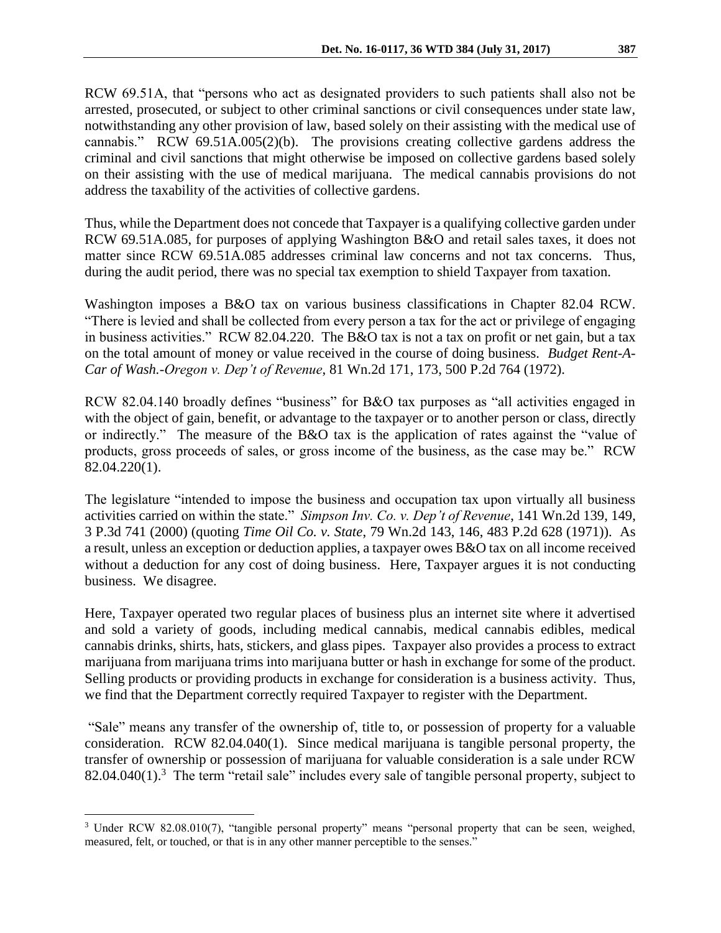RCW 69.51A, that "persons who act as designated providers to such patients shall also not be arrested, prosecuted, or subject to other criminal sanctions or civil consequences under state law, notwithstanding any other provision of law, based solely on their assisting with the medical use of cannabis." RCW 69.51A.005(2)(b). The provisions creating collective gardens address the criminal and civil sanctions that might otherwise be imposed on collective gardens based solely on their assisting with the use of medical marijuana. The medical cannabis provisions do not address the taxability of the activities of collective gardens.

Thus, while the Department does not concede that Taxpayer is a qualifying collective garden under RCW 69.51A.085, for purposes of applying Washington B&O and retail sales taxes, it does not matter since RCW 69.51A.085 addresses criminal law concerns and not tax concerns. Thus, during the audit period, there was no special tax exemption to shield Taxpayer from taxation.

Washington imposes a B&O tax on various business classifications in Chapter 82.04 RCW. "There is levied and shall be collected from every person a tax for the act or privilege of engaging in business activities." RCW 82.04.220. The B&O tax is not a tax on profit or net gain, but a tax on the total amount of money or value received in the course of doing business. *Budget Rent-A-Car of Wash.-Oregon v. Dep't of Revenue*, 81 Wn.2d 171, 173, 500 P.2d 764 (1972).

RCW 82.04.140 broadly defines "business" for B&O tax purposes as "all activities engaged in with the object of gain, benefit, or advantage to the taxpayer or to another person or class, directly or indirectly." The measure of the B&O tax is the application of rates against the "value of products, gross proceeds of sales, or gross income of the business, as the case may be." RCW 82.04.220(1).

The legislature "intended to impose the business and occupation tax upon virtually all business activities carried on within the state." *Simpson Inv. Co. v. Dep't of Revenue*, 141 Wn.2d 139, 149, 3 P.3d 741 (2000) (quoting *Time Oil Co. v. State*, 79 Wn.2d 143, 146, 483 P.2d 628 (1971)). As a result, unless an exception or deduction applies, a taxpayer owes B&O tax on all income received without a deduction for any cost of doing business. Here, Taxpayer argues it is not conducting business. We disagree.

Here, Taxpayer operated two regular places of business plus an internet site where it advertised and sold a variety of goods, including medical cannabis, medical cannabis edibles, medical cannabis drinks, shirts, hats, stickers, and glass pipes. Taxpayer also provides a process to extract marijuana from marijuana trims into marijuana butter or hash in exchange for some of the product. Selling products or providing products in exchange for consideration is a business activity. Thus, we find that the Department correctly required Taxpayer to register with the Department.

"Sale" means any transfer of the ownership of, title to, or possession of property for a valuable consideration. RCW 82.04.040(1). Since medical marijuana is tangible personal property, the transfer of ownership or possession of marijuana for valuable consideration is a sale under RCW  $82.04.040(1)$ .<sup>3</sup> The term "retail sale" includes every sale of tangible personal property, subject to

<sup>&</sup>lt;sup>3</sup> Under RCW 82.08.010(7), "tangible personal property" means "personal property that can be seen, weighed, measured, felt, or touched, or that is in any other manner perceptible to the senses."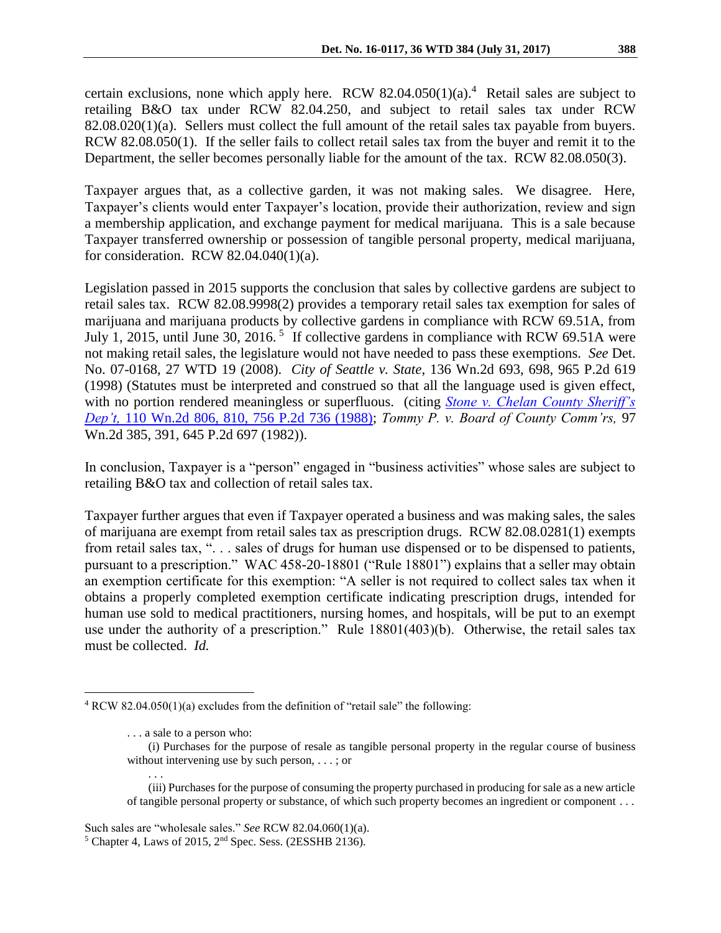certain exclusions, none which apply here. RCW  $82.04.050(1)(a)$ .<sup>4</sup> Retail sales are subject to retailing B&O tax under RCW 82.04.250, and subject to retail sales tax under RCW 82.08.020(1)(a). Sellers must collect the full amount of the retail sales tax payable from buyers. RCW 82.08.050(1). If the seller fails to collect retail sales tax from the buyer and remit it to the Department, the seller becomes personally liable for the amount of the tax. RCW 82.08.050(3).

Taxpayer argues that, as a collective garden, it was not making sales. We disagree. Here, Taxpayer's clients would enter Taxpayer's location, provide their authorization, review and sign a membership application, and exchange payment for medical marijuana. This is a sale because Taxpayer transferred ownership or possession of tangible personal property, medical marijuana, for consideration. RCW 82.04.040(1)(a).

Legislation passed in 2015 supports the conclusion that sales by collective gardens are subject to retail sales tax. RCW 82.08.9998(2) provides a temporary retail sales tax exemption for sales of marijuana and marijuana products by collective gardens in compliance with RCW 69.51A, from July 1, 2015, until June 30, 2016.<sup>5</sup> If collective gardens in compliance with RCW 69.51A were not making retail sales, the legislature would not have needed to pass these exemptions. *See* Det. No. 07-0168, 27 WTD 19 (2008). *City of Seattle v. State*, 136 Wn.2d 693, 698, 965 P.2d 619 (1998) (Statutes must be interpreted and construed so that all the language used is given effect, with no portion rendered meaningless or superfluous. (citing *[Stone v. Chelan County Sheriff's](http://www.westlaw.com/Link/Document/FullText?findType=Y&serNum=1988082247&pubNum=661&originatingDoc=I383259f8f56b11d9bf60c1d57ebc853e&refType=RP&originationContext=document&vr=3.0&rs=cblt1.0&transitionType=DocumentItem&contextData=(sc.UserEnteredCitation))  Dep't,* [110 Wn.2d 806, 810, 756 P.2d 736 \(1988\);](http://www.westlaw.com/Link/Document/FullText?findType=Y&serNum=1988082247&pubNum=661&originatingDoc=I383259f8f56b11d9bf60c1d57ebc853e&refType=RP&originationContext=document&vr=3.0&rs=cblt1.0&transitionType=DocumentItem&contextData=(sc.UserEnteredCitation)) *Tommy P. v. Board of County Comm'rs,* 97 Wn.2d 385, 391, 645 P.2d 697 (1982)).

In conclusion, Taxpayer is a "person" engaged in "business activities" whose sales are subject to retailing B&O tax and collection of retail sales tax.

Taxpayer further argues that even if Taxpayer operated a business and was making sales, the sales of marijuana are exempt from retail sales tax as prescription drugs. RCW 82.08.0281(1) exempts from retail sales tax, ". . . sales of drugs for human use dispensed or to be dispensed to patients, pursuant to a prescription." WAC 458-20-18801 ("Rule 18801") explains that a seller may obtain an exemption certificate for this exemption: "A seller is not required to collect sales tax when it obtains a properly completed exemption certificate indicating prescription drugs, intended for human use sold to medical practitioners, nursing homes, and hospitals, will be put to an exempt use under the authority of a prescription." Rule 18801(403)(b). Otherwise, the retail sales tax must be collected. *Id.*

. . .

<sup>4</sup> RCW 82.04.050(1)(a) excludes from the definition of "retail sale" the following:

<sup>. . .</sup> a sale to a person who:

<sup>(</sup>i) Purchases for the purpose of resale as tangible personal property in the regular course of business without intervening use by such person, . . . ; or

<sup>(</sup>iii) Purchases for the purpose of consuming the property purchased in producing for sale as a new article of tangible personal property or substance, of which such property becomes an ingredient or component . . .

Such sales are "wholesale sales." *See* RCW 82.04.060(1)(a).

<sup>5</sup> Chapter 4, Laws of 2015, 2nd Spec. Sess. (2ESSHB 2136).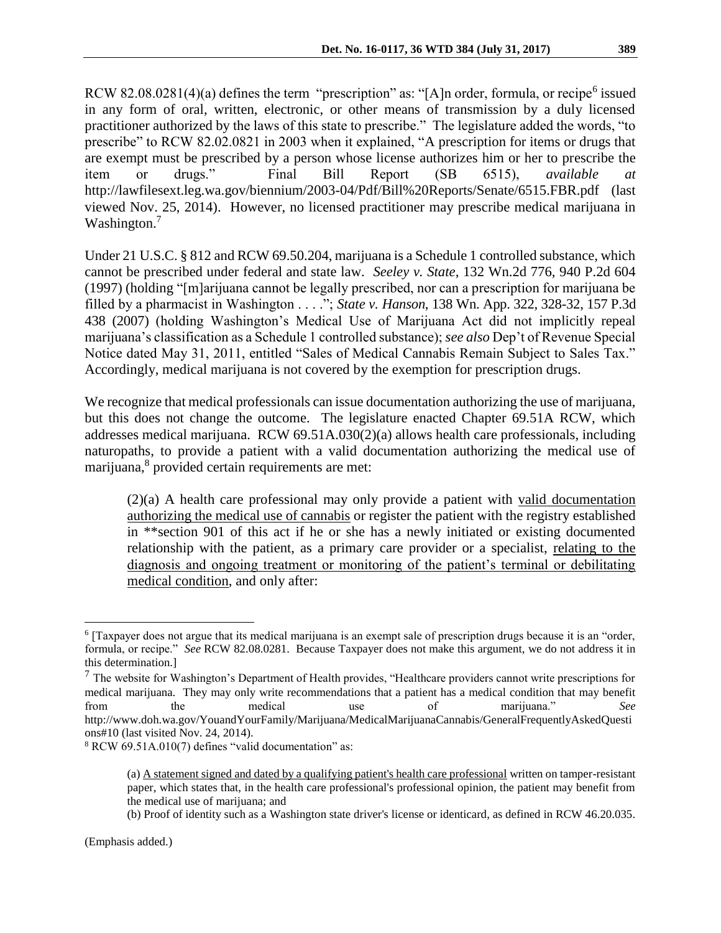RCW 82.08.0281(4)(a) defines the term "prescription" as: "[A]n order, formula, or recipe<sup>6</sup> issued in any form of oral, written, electronic, or other means of transmission by a duly licensed practitioner authorized by the laws of this state to prescribe." The legislature added the words, "to prescribe" to RCW 82.02.0821 in 2003 when it explained, "A prescription for items or drugs that are exempt must be prescribed by a person whose license authorizes him or her to prescribe the item or drugs." Final Bill Report (SB 6515), *available at*  http://lawfilesext.leg.wa.gov/biennium/2003-04/Pdf/Bill%20Reports/Senate/6515.FBR.pdf (last viewed Nov. 25, 2014). However, no licensed practitioner may prescribe medical marijuana in Washington.<sup>7</sup>

Under 21 U.S.C. § 812 and RCW 69.50.204, marijuana is a Schedule 1 controlled substance, which cannot be prescribed under federal and state law. *Seeley v. State*, 132 Wn.2d 776, 940 P.2d 604 (1997) (holding "[m]arijuana cannot be legally prescribed, nor can a prescription for marijuana be filled by a pharmacist in Washington . . . ."; *State v. Hanson*, 138 Wn. App. 322, 328-32, 157 P.3d 438 (2007) (holding Washington's Medical Use of Marijuana Act did not implicitly repeal marijuana's classification as a Schedule 1 controlled substance); *see also* Dep't of Revenue Special Notice dated May 31, 2011, entitled "Sales of Medical Cannabis Remain Subject to Sales Tax." Accordingly, medical marijuana is not covered by the exemption for prescription drugs.

We recognize that medical professionals can issue documentation authorizing the use of marijuana, but this does not change the outcome. The legislature enacted Chapter 69.51A RCW, which addresses medical marijuana. RCW 69.51A.030(2)(a) allows health care professionals, including naturopaths, to provide a patient with a valid documentation authorizing the medical use of marijuana,<sup>8</sup> provided certain requirements are met:

(2)(a) A health care professional may only provide a patient with valid documentation authorizing the medical use of cannabis or register the patient with the registry established in \*\*section 901 of this act if he or she has a newly initiated or existing documented relationship with the patient, as a primary care provider or a specialist, relating to the diagnosis and ongoing treatment or monitoring of the patient's terminal or debilitating medical condition, and only after:

<sup>6</sup> [Taxpayer does not argue that its medical marijuana is an exempt sale of prescription drugs because it is an "order, formula, or recipe." *See* RCW 82.08.0281. Because Taxpayer does not make this argument, we do not address it in this determination.]

 $<sup>7</sup>$  The website for Washington's Department of Health provides, "Healthcare providers cannot write prescriptions for</sup> medical marijuana. They may only write recommendations that a patient has a medical condition that may benefit from the medical use of marijuana." *See* http://www.doh.wa.gov/YouandYourFamily/Marijuana/MedicalMarijuanaCannabis/GeneralFrequentlyAskedQuesti ons#10 (last visited Nov. 24, 2014).

<sup>8</sup> RCW 69.51A.010(7) defines "valid documentation" as:

<sup>(</sup>a) A statement signed and dated by a qualifying patient's health care professional written on tamper-resistant paper, which states that, in the health care professional's professional opinion, the patient may benefit from the medical use of marijuana; and

<sup>(</sup>b) Proof of identity such as a Washington state driver's license or identicard, as defined in RCW 46.20.035.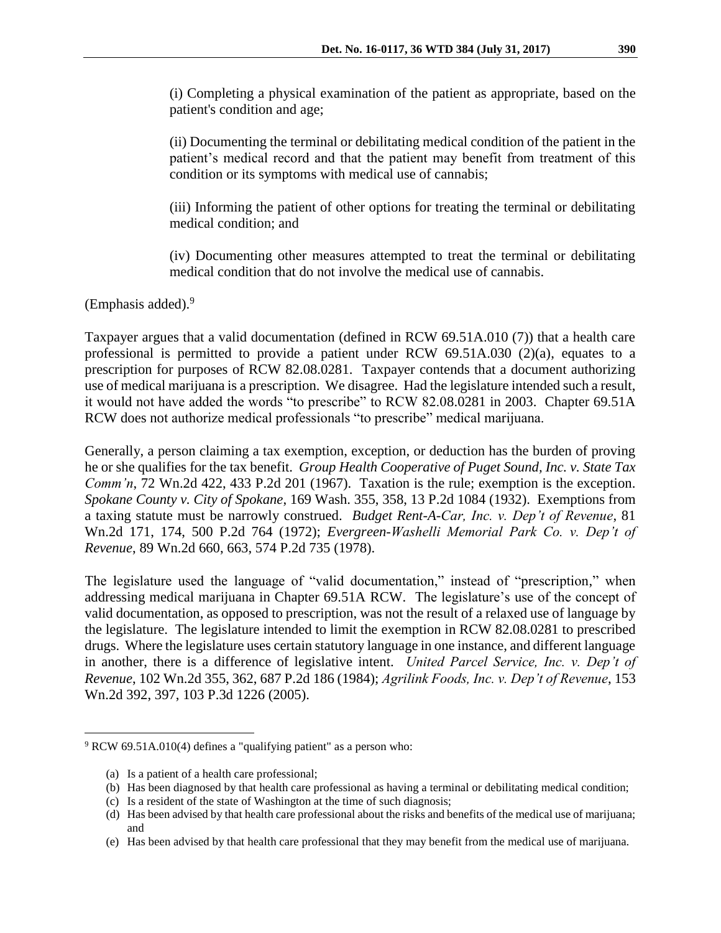(i) Completing a physical examination of the patient as appropriate, based on the patient's condition and age;

(ii) Documenting the terminal or debilitating medical condition of the patient in the patient's medical record and that the patient may benefit from treatment of this condition or its symptoms with medical use of cannabis;

(iii) Informing the patient of other options for treating the terminal or debilitating medical condition; and

(iv) Documenting other measures attempted to treat the terminal or debilitating medical condition that do not involve the medical use of cannabis.

(Emphasis added). $9$ 

Taxpayer argues that a valid documentation (defined in RCW 69.51A.010 (7)) that a health care professional is permitted to provide a patient under RCW 69.51A.030 (2)(a), equates to a prescription for purposes of RCW 82.08.0281. Taxpayer contends that a document authorizing use of medical marijuana is a prescription. We disagree. Had the legislature intended such a result, it would not have added the words "to prescribe" to RCW 82.08.0281 in 2003. Chapter 69.51A RCW does not authorize medical professionals "to prescribe" medical marijuana.

Generally, a person claiming a tax exemption, exception, or deduction has the burden of proving he or she qualifies for the tax benefit. *Group Health Cooperative of Puget Sound, Inc. v. State Tax Comm'n*, 72 Wn.2d 422, 433 P.2d 201 (1967). Taxation is the rule; exemption is the exception. *Spokane County v. City of Spokane*, 169 Wash. 355, 358, 13 P.2d 1084 (1932). Exemptions from a taxing statute must be narrowly construed. *Budget Rent-A-Car, Inc. v. Dep't of Revenue*, 81 Wn.2d 171, 174, 500 P.2d 764 (1972); *Evergreen-Washelli Memorial Park Co. v. Dep't of Revenue*, 89 Wn.2d 660, 663, 574 P.2d 735 (1978).

The legislature used the language of "valid documentation," instead of "prescription," when addressing medical marijuana in Chapter 69.51A RCW. The legislature's use of the concept of valid documentation, as opposed to prescription, was not the result of a relaxed use of language by the legislature. The legislature intended to limit the exemption in RCW 82.08.0281 to prescribed drugs. Where the legislature uses certain statutory language in one instance, and different language in another, there is a difference of legislative intent. *United Parcel Service, Inc. v. Dep't of Revenue*, 102 Wn.2d 355, 362, 687 P.2d 186 (1984); *Agrilink Foods, Inc. v. Dep't of Revenue*, 153 Wn.2d 392, 397, 103 P.3d 1226 (2005).

<sup>9</sup> RCW 69.51A.010(4) defines a "qualifying patient" as a person who:

<sup>(</sup>a) Is a patient of a health care professional;

<sup>(</sup>b) Has been diagnosed by that health care professional as having a terminal or debilitating medical condition;

<sup>(</sup>c) Is a resident of the state of Washington at the time of such diagnosis;

<sup>(</sup>d) Has been advised by that health care professional about the risks and benefits of the medical use of marijuana; and

<sup>(</sup>e) Has been advised by that health care professional that they may benefit from the medical use of marijuana.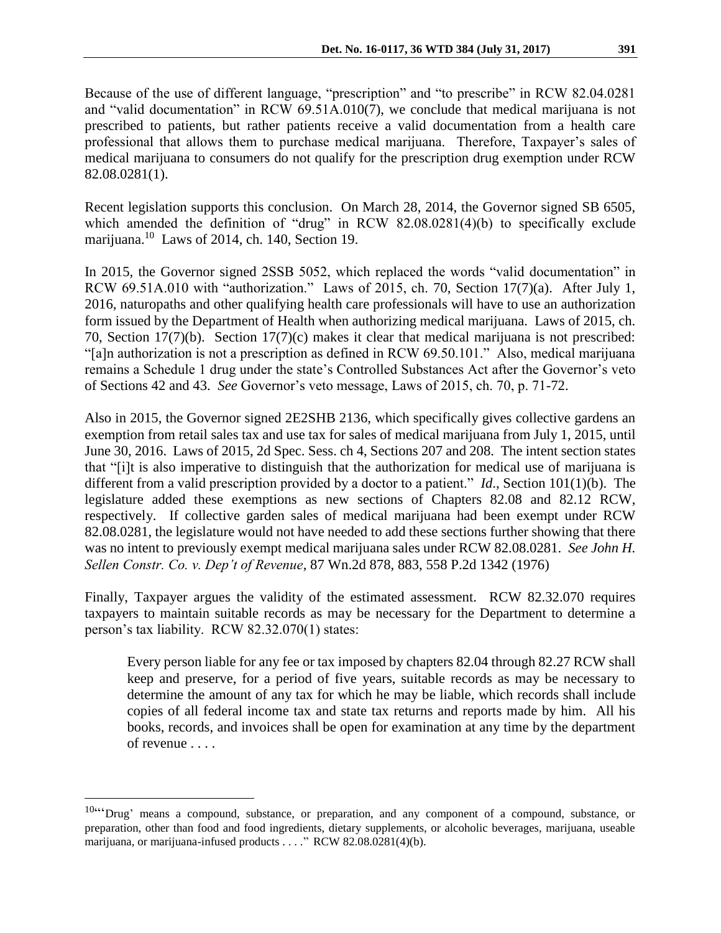Because of the use of different language, "prescription" and "to prescribe" in RCW 82.04.0281 and "valid documentation" in RCW 69.51A.010(7), we conclude that medical marijuana is not prescribed to patients, but rather patients receive a valid documentation from a health care professional that allows them to purchase medical marijuana. Therefore, Taxpayer's sales of medical marijuana to consumers do not qualify for the prescription drug exemption under RCW 82.08.0281(1).

Recent legislation supports this conclusion. On March 28, 2014, the Governor signed SB 6505, which amended the definition of "drug" in RCW 82.08.0281(4)(b) to specifically exclude marijuana.<sup>10</sup> Laws of 2014, ch. 140, Section 19.

In 2015, the Governor signed 2SSB 5052, which replaced the words "valid documentation" in RCW 69.51A.010 with "authorization." Laws of 2015, ch. 70, Section 17(7)(a). After July 1, 2016, naturopaths and other qualifying health care professionals will have to use an authorization form issued by the Department of Health when authorizing medical marijuana. Laws of 2015, ch. 70, Section 17(7)(b). Section 17(7)(c) makes it clear that medical marijuana is not prescribed: "[a]n authorization is not a prescription as defined in RCW 69.50.101." Also, medical marijuana remains a Schedule 1 drug under the state's Controlled Substances Act after the Governor's veto of Sections 42 and 43. *See* Governor's veto message, Laws of 2015, ch. 70, p. 71-72.

Also in 2015, the Governor signed 2E2SHB 2136, which specifically gives collective gardens an exemption from retail sales tax and use tax for sales of medical marijuana from July 1, 2015, until June 30, 2016. Laws of 2015, 2d Spec. Sess. ch 4, Sections 207 and 208. The intent section states that "[i]t is also imperative to distinguish that the authorization for medical use of marijuana is different from a valid prescription provided by a doctor to a patient." *Id*., Section 101(1)(b). The legislature added these exemptions as new sections of Chapters 82.08 and 82.12 RCW, respectively. If collective garden sales of medical marijuana had been exempt under RCW 82.08.0281, the legislature would not have needed to add these sections further showing that there was no intent to previously exempt medical marijuana sales under RCW 82.08.0281. *See John H. Sellen Constr. Co. v. Dep't of Revenue*, 87 Wn.2d 878, 883, 558 P.2d 1342 (1976)

Finally, Taxpayer argues the validity of the estimated assessment. RCW 82.32.070 requires taxpayers to maintain suitable records as may be necessary for the Department to determine a person's tax liability. RCW 82.32.070(1) states:

Every person liable for any fee or tax imposed by chapters 82.04 through 82.27 RCW shall keep and preserve, for a period of five years, suitable records as may be necessary to determine the amount of any tax for which he may be liable, which records shall include copies of all federal income tax and state tax returns and reports made by him. All his books, records, and invoices shall be open for examination at any time by the department of revenue . . . .

<sup>10&</sup>lt;sup>ccc</sup> Drug' means a compound, substance, or preparation, and any component of a compound, substance, or preparation, other than food and food ingredients, dietary supplements, or alcoholic beverages, marijuana, useable marijuana, or marijuana-infused products . . . ." RCW 82.08.0281(4)(b).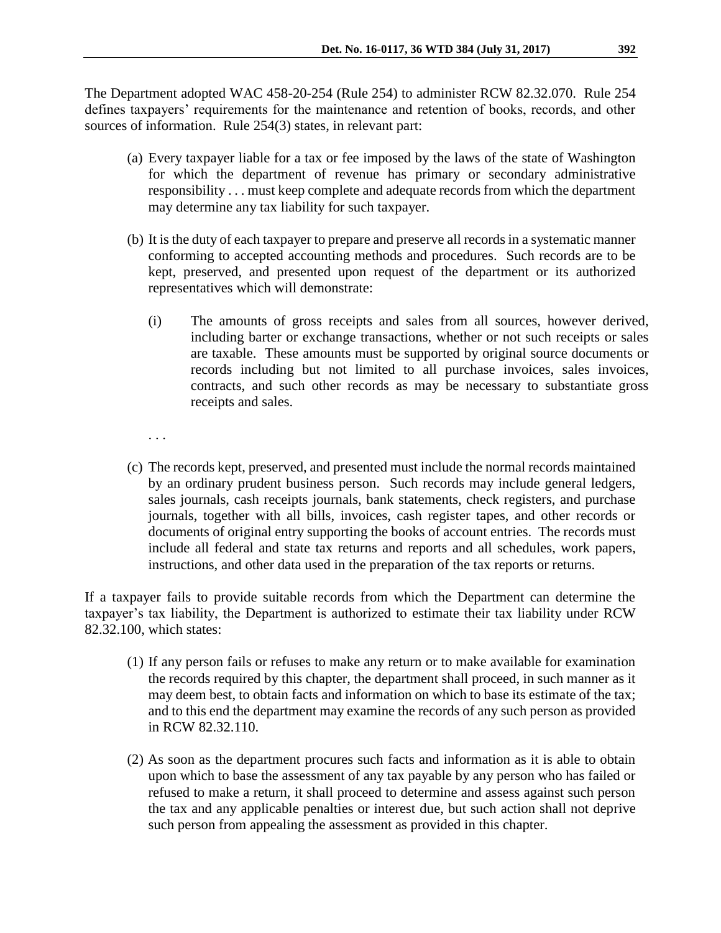The Department adopted WAC 458-20-254 (Rule 254) to administer RCW 82.32.070. Rule 254 defines taxpayers' requirements for the maintenance and retention of books, records, and other sources of information. Rule 254(3) states, in relevant part:

- (a) Every taxpayer liable for a tax or fee imposed by the laws of the state of Washington for which the department of revenue has primary or secondary administrative responsibility . . . must keep complete and adequate records from which the department may determine any tax liability for such taxpayer.
- (b) It is the duty of each taxpayer to prepare and preserve all records in a systematic manner conforming to accepted accounting methods and procedures. Such records are to be kept, preserved, and presented upon request of the department or its authorized representatives which will demonstrate:
	- (i) The amounts of gross receipts and sales from all sources, however derived, including barter or exchange transactions, whether or not such receipts or sales are taxable. These amounts must be supported by original source documents or records including but not limited to all purchase invoices, sales invoices, contracts, and such other records as may be necessary to substantiate gross receipts and sales.
	- . . .
- (c) The records kept, preserved, and presented must include the normal records maintained by an ordinary prudent business person. Such records may include general ledgers, sales journals, cash receipts journals, bank statements, check registers, and purchase journals, together with all bills, invoices, cash register tapes, and other records or documents of original entry supporting the books of account entries. The records must include all federal and state tax returns and reports and all schedules, work papers, instructions, and other data used in the preparation of the tax reports or returns.

If a taxpayer fails to provide suitable records from which the Department can determine the taxpayer's tax liability, the Department is authorized to estimate their tax liability under RCW 82.32.100, which states:

- (1) If any person fails or refuses to make any return or to make available for examination the records required by this chapter, the department shall proceed, in such manner as it may deem best, to obtain facts and information on which to base its estimate of the tax; and to this end the department may examine the records of any such person as provided in RCW 82.32.110.
- (2) As soon as the department procures such facts and information as it is able to obtain upon which to base the assessment of any tax payable by any person who has failed or refused to make a return, it shall proceed to determine and assess against such person the tax and any applicable penalties or interest due, but such action shall not deprive such person from appealing the assessment as provided in this chapter.